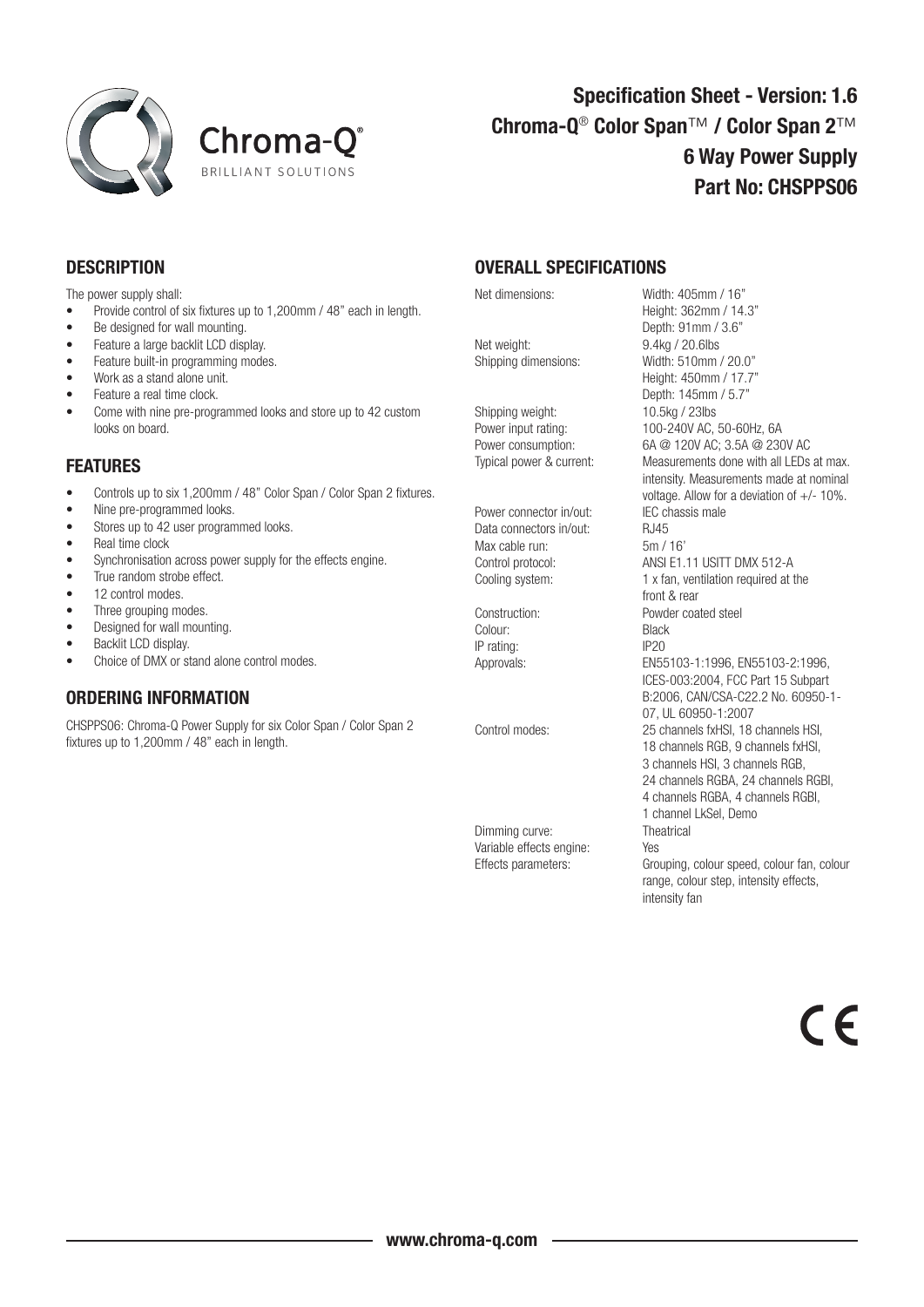



## Specification Sheet - Version: 1.6 Chroma-Q® Color Span™ / Color Span 2™ 6 Way Power Supply Part No: CHSPPS06

## **DESCRIPTION**

The power supply shall:

- Provide control of six fixtures up to 1,200mm / 48" each in length.
- Be designed for wall mounting.
- Feature a large backlit LCD display.
- Feature built-in programming modes.
- Work as a stand alone unit.
- Feature a real time clock.
- Come with nine pre-programmed looks and store up to 42 custom looks on board.

## FEATURES

Controls up to six 1,200mm / 48" Color Span / Color Span 2 fixtures.

- Nine pre-programmed looks.
- Stores up to 42 user programmed looks.
- Real time clock
- • Synchronisation across power supply for the effects engine.
- True random strobe effect.
- 12 control modes.
- Three grouping modes.
- Designed for wall mounting.
- Backlit LCD display.
- Choice of DMX or stand alone control modes.

## ORDERING INFORMATION

CHSPPS06: Chroma-Q Power Supply for six Color Span / Color Span 2 fixtures up to 1,200mm / 48" each in length.

OVERALL SPECIFICATIONS

Net weight: 9.4kg / 20.6lbs

Shipping weight: 10.5kg / 23lbs

Power connector in/out: Data connectors in/out: RJ45 Max cable run: 5m / 16'

Colour: Black IP rating: IP20

Dimming curve: Theatrical Variable effects engine: Yes<br>Effects parameters: Gro

Net dimensions: Width: 405mm / 16" Height: 362mm / 14.3" Depth: 91mm / 3.6" Shipping dimensions: Width: 510mm / 20.0" Height: 450mm / 17.7" Depth: 145mm / 5.7" Power input rating: 100-240V AC, 50-60Hz, 6A Power consumption: 6A @ 120V AC; 3.5A @ 230V AC Typical power & current: Measurements done with all LEDs at max. intensity. Measurements made at nominal voltage. Allow for a deviation of  $+/- 10\%$ .<br>IFC chassis male Control protocol: ANSI E1.11 USITT DMX 512-A Cooling system: 1 x fan, ventilation required at the front & rear Construction: Powder coated steel Approvals: EN55103-1:1996, EN55103-2:1996, ICES-003:2004, FCC Part 15 Subpart B:2006, CAN/CSA-C22.2 No. 60950-1- 07, UL 60950-1:2007 Control modes: 25 channels fxHSI, 18 channels HSI, 18 channels RGB, 9 channels fxHSI, 3 channels HSI, 3 channels RGB, 24 channels RGBA, 24 channels RGBI, 4 channels RGBA, 4 channels RGBI, 1 channel LkSel, Demo Grouping, colour speed, colour fan, colour range, colour step, intensity effects, intensity fan

 $\epsilon$